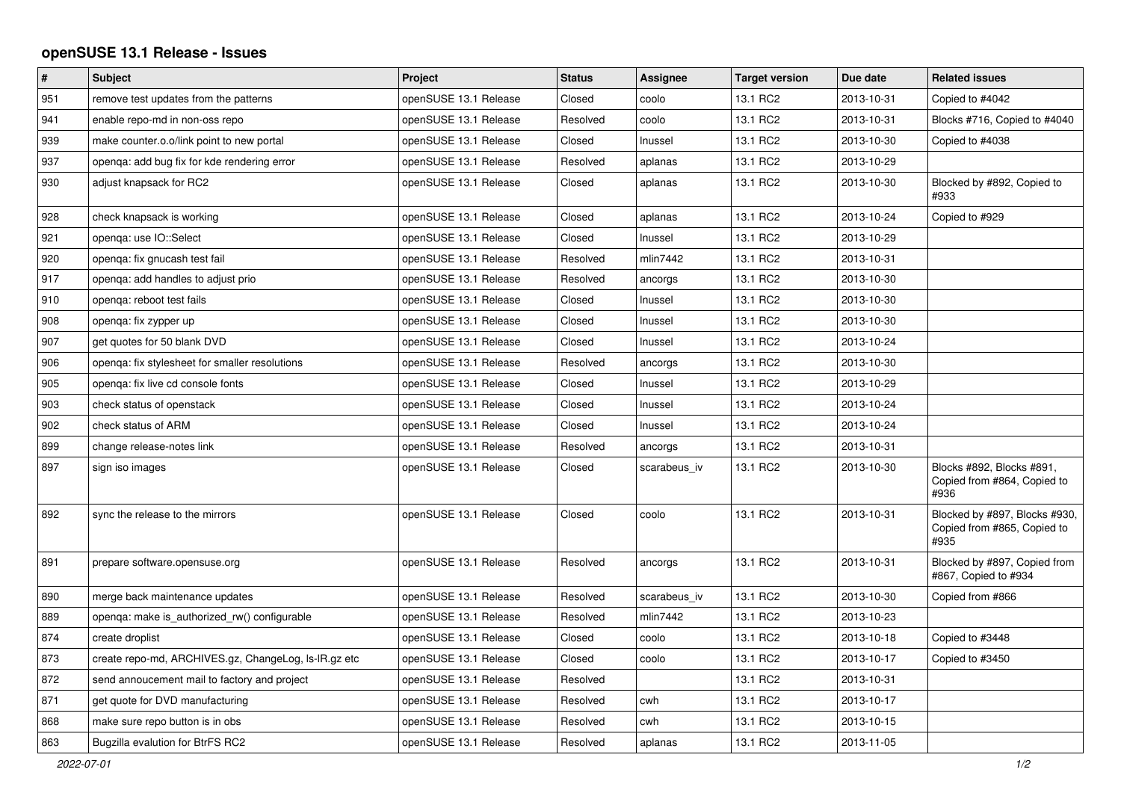## **openSUSE 13.1 Release - Issues**

| $\pmb{\#}$ | <b>Subject</b>                                       | Project               | <b>Status</b> | Assignee     | <b>Target version</b> | Due date   | <b>Related issues</b>                                                |
|------------|------------------------------------------------------|-----------------------|---------------|--------------|-----------------------|------------|----------------------------------------------------------------------|
| 951        | remove test updates from the patterns                | openSUSE 13.1 Release | Closed        | coolo        | 13.1 RC2              | 2013-10-31 | Copied to #4042                                                      |
| 941        | enable repo-md in non-oss repo                       | openSUSE 13.1 Release | Resolved      | coolo        | 13.1 RC2              | 2013-10-31 | Blocks #716, Copied to #4040                                         |
| 939        | make counter.o.o/link point to new portal            | openSUSE 13.1 Release | Closed        | Inussel      | 13.1 RC2              | 2013-10-30 | Copied to #4038                                                      |
| 937        | openga: add bug fix for kde rendering error          | openSUSE 13.1 Release | Resolved      | aplanas      | 13.1 RC2              | 2013-10-29 |                                                                      |
| 930        | adjust knapsack for RC2                              | openSUSE 13.1 Release | Closed        | aplanas      | 13.1 RC2              | 2013-10-30 | Blocked by #892, Copied to<br>#933                                   |
| 928        | check knapsack is working                            | openSUSE 13.1 Release | Closed        | aplanas      | 13.1 RC2              | 2013-10-24 | Copied to #929                                                       |
| 921        | openga: use IO::Select                               | openSUSE 13.1 Release | Closed        | Inussel      | 13.1 RC2              | 2013-10-29 |                                                                      |
| 920        | openqa: fix gnucash test fail                        | openSUSE 13.1 Release | Resolved      | mlin7442     | 13.1 RC2              | 2013-10-31 |                                                                      |
| 917        | openga: add handles to adjust prio                   | openSUSE 13.1 Release | Resolved      | ancorgs      | 13.1 RC2              | 2013-10-30 |                                                                      |
| 910        | openga: reboot test fails                            | openSUSE 13.1 Release | Closed        | Inussel      | 13.1 RC2              | 2013-10-30 |                                                                      |
| 908        | openga: fix zypper up                                | openSUSE 13.1 Release | Closed        | Inussel      | 13.1 RC2              | 2013-10-30 |                                                                      |
| 907        | get quotes for 50 blank DVD                          | openSUSE 13.1 Release | Closed        | Inussel      | 13.1 RC2              | 2013-10-24 |                                                                      |
| 906        | openqa: fix stylesheet for smaller resolutions       | openSUSE 13.1 Release | Resolved      | ancorgs      | 13.1 RC2              | 2013-10-30 |                                                                      |
| 905        | openqa: fix live cd console fonts                    | openSUSE 13.1 Release | Closed        | Inussel      | 13.1 RC2              | 2013-10-29 |                                                                      |
| 903        | check status of openstack                            | openSUSE 13.1 Release | Closed        | Inussel      | 13.1 RC2              | 2013-10-24 |                                                                      |
| 902        | check status of ARM                                  | openSUSE 13.1 Release | Closed        | Inussel      | 13.1 RC2              | 2013-10-24 |                                                                      |
| 899        | change release-notes link                            | openSUSE 13.1 Release | Resolved      | ancorgs      | 13.1 RC2              | 2013-10-31 |                                                                      |
| 897        | sign iso images                                      | openSUSE 13.1 Release | Closed        | scarabeus iv | 13.1 RC2              | 2013-10-30 | Blocks #892, Blocks #891,<br>Copied from #864, Copied to<br>#936     |
| 892        | sync the release to the mirrors                      | openSUSE 13.1 Release | Closed        | coolo        | 13.1 RC2              | 2013-10-31 | Blocked by #897, Blocks #930,<br>Copied from #865, Copied to<br>#935 |
| 891        | prepare software.opensuse.org                        | openSUSE 13.1 Release | Resolved      | ancorgs      | 13.1 RC2              | 2013-10-31 | Blocked by #897, Copied from<br>#867, Copied to #934                 |
| 890        | merge back maintenance updates                       | openSUSE 13.1 Release | Resolved      | scarabeus iv | 13.1 RC2              | 2013-10-30 | Copied from #866                                                     |
| 889        | openga: make is authorized rw() configurable         | openSUSE 13.1 Release | Resolved      | mlin7442     | 13.1 RC2              | 2013-10-23 |                                                                      |
| 874        | create droplist                                      | openSUSE 13.1 Release | Closed        | coolo        | 13.1 RC2              | 2013-10-18 | Copied to #3448                                                      |
| 873        | create repo-md, ARCHIVES.gz, ChangeLog, Is-IR.gz etc | openSUSE 13.1 Release | Closed        | coolo        | 13.1 RC2              | 2013-10-17 | Copied to #3450                                                      |
| 872        | send annoucement mail to factory and project         | openSUSE 13.1 Release | Resolved      |              | 13.1 RC2              | 2013-10-31 |                                                                      |
| 871        | get quote for DVD manufacturing                      | openSUSE 13.1 Release | Resolved      | cwh          | 13.1 RC2              | 2013-10-17 |                                                                      |
| 868        | make sure repo button is in obs                      | openSUSE 13.1 Release | Resolved      | cwh          | 13.1 RC2              | 2013-10-15 |                                                                      |
| 863        | Bugzilla evalution for BtrFS RC2                     | openSUSE 13.1 Release | Resolved      | aplanas      | 13.1 RC2              | 2013-11-05 |                                                                      |